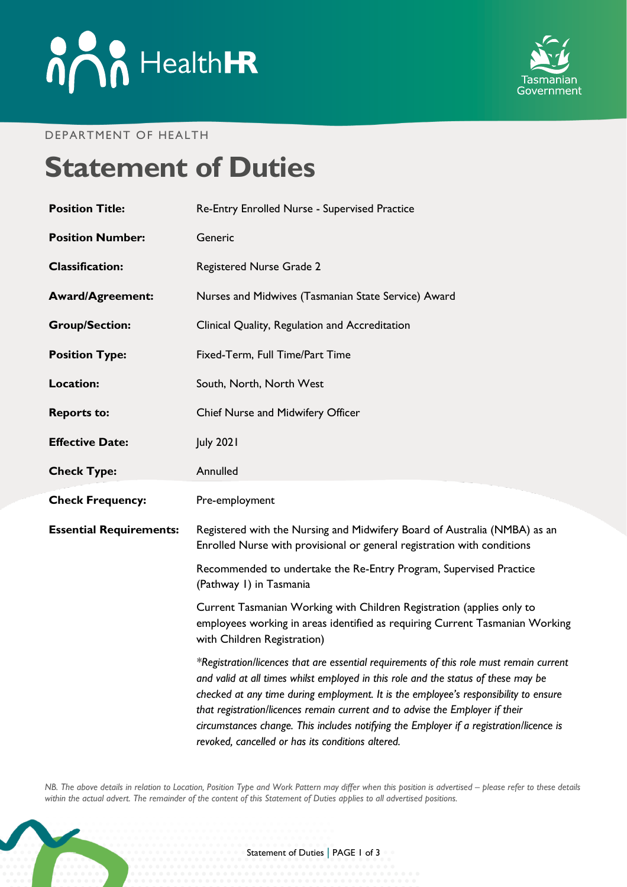# **And HealthER**



#### DEPARTMENT OF HEALTH

## **Statement of Duties**

| <b>Position Title:</b>         | Re-Entry Enrolled Nurse - Supervised Practice                                                                                                                                                                                                                                                                                                                                                                                                                                                          |
|--------------------------------|--------------------------------------------------------------------------------------------------------------------------------------------------------------------------------------------------------------------------------------------------------------------------------------------------------------------------------------------------------------------------------------------------------------------------------------------------------------------------------------------------------|
| <b>Position Number:</b>        | Generic                                                                                                                                                                                                                                                                                                                                                                                                                                                                                                |
| <b>Classification:</b>         | Registered Nurse Grade 2                                                                                                                                                                                                                                                                                                                                                                                                                                                                               |
| <b>Award/Agreement:</b>        | Nurses and Midwives (Tasmanian State Service) Award                                                                                                                                                                                                                                                                                                                                                                                                                                                    |
| <b>Group/Section:</b>          | Clinical Quality, Regulation and Accreditation                                                                                                                                                                                                                                                                                                                                                                                                                                                         |
| <b>Position Type:</b>          | Fixed-Term, Full Time/Part Time                                                                                                                                                                                                                                                                                                                                                                                                                                                                        |
| <b>Location:</b>               | South, North, North West                                                                                                                                                                                                                                                                                                                                                                                                                                                                               |
| <b>Reports to:</b>             | Chief Nurse and Midwifery Officer                                                                                                                                                                                                                                                                                                                                                                                                                                                                      |
| <b>Effective Date:</b>         | <b>July 2021</b>                                                                                                                                                                                                                                                                                                                                                                                                                                                                                       |
| <b>Check Type:</b>             | Annulled                                                                                                                                                                                                                                                                                                                                                                                                                                                                                               |
| <b>Check Frequency:</b>        | Pre-employment                                                                                                                                                                                                                                                                                                                                                                                                                                                                                         |
| <b>Essential Requirements:</b> | Registered with the Nursing and Midwifery Board of Australia (NMBA) as an<br>Enrolled Nurse with provisional or general registration with conditions                                                                                                                                                                                                                                                                                                                                                   |
|                                | Recommended to undertake the Re-Entry Program, Supervised Practice<br>(Pathway I) in Tasmania                                                                                                                                                                                                                                                                                                                                                                                                          |
|                                | Current Tasmanian Working with Children Registration (applies only to<br>employees working in areas identified as requiring Current Tasmanian Working<br>with Children Registration)                                                                                                                                                                                                                                                                                                                   |
|                                | *Registration/licences that are essential requirements of this role must remain current<br>and valid at all times whilst employed in this role and the status of these may be<br>checked at any time during employment. It is the employee's responsibility to ensure<br>that registration/licences remain current and to advise the Employer if their<br>circumstances change. This includes notifying the Employer if a registration/licence is<br>revoked, cancelled or has its conditions altered. |

*NB. The above details in relation to Location, Position Type and Work Pattern may differ when this position is advertised - please refer to these details within the actual advert. The remainder of the content of this Statement of Duties applies to all advertised positions.*

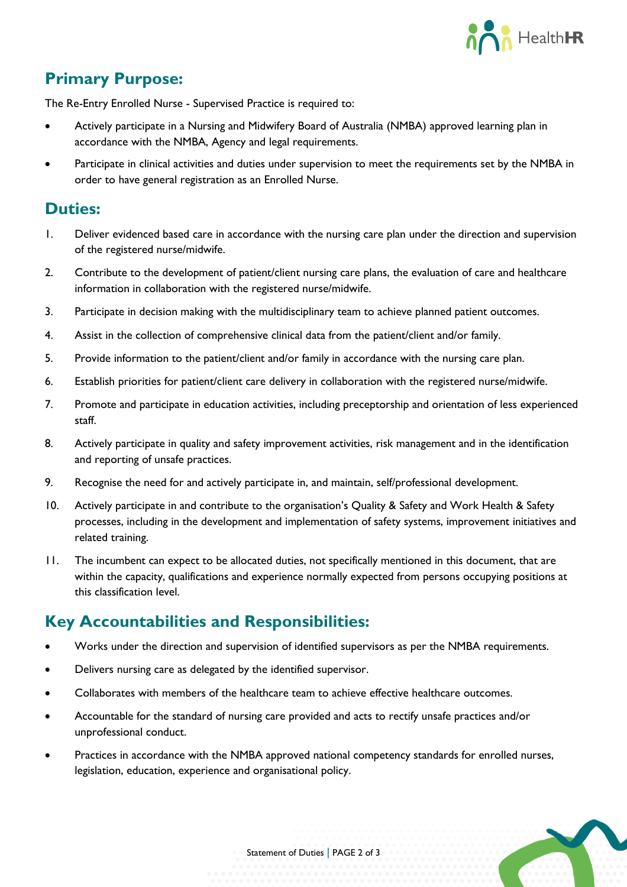

### **Primary Purpose:**

The Re-Entry Enrolled Nurse - Supervised Practice is required to:

- Actively participate in a Nursing and Midwifery Board of Australia (NMBA) approved learning plan in accordance with the NMBA, Agency and legal requirements.
- Participate in clinical activities and duties under supervision to meet the requirements set by the NMBA in order to have general registration as an Enrolled Nurse.

#### **Duties:**

- 1. Deliver evidenced based care in accordance with the nursing care plan under the direction and supervision of the registered nurse/midwife.
- 2. Contribute to the development of patient/client nursing care plans, the evaluation of care and healthcare information in collaboration with the registered nurse/midwife.
- 3. Participate in decision making with the multidisciplinary team to achieve planned patient outcomes.
- 4. Assist in the collection of comprehensive clinical data from the patient/client and/or family.
- 5. Provide information to the patient/client and/or family in accordance with the nursing care plan.
- 6. Establish priorities for patient/client care delivery in collaboration with the registered nurse/midwife.
- 7. Promote and participate in education activities, including preceptorship and orientation of less experienced staff.
- 8. Actively participate in quality and safety improvement activities, risk management and in the identification and reporting of unsafe practices.
- 9. Recognise the need for and actively participate in, and maintain, self/professional development.
- 10. Actively participate in and contribute to the organisation's Quality & Safety and Work Health & Safety processes, including in the development and implementation of safety systems, improvement initiatives and related training.
- 11. The incumbent can expect to be allocated duties, not specifically mentioned in this document, that are within the capacity, qualifications and experience normally expected from persons occupying positions at this classification level.

#### **Key Accountabilities and Responsibilities:**

- Works under the direction and supervision of identified supervisors as per the NMBA requirements.
- Delivers nursing care as delegated by the identified supervisor.
- Collaborates with members of the healthcare team to achieve effective healthcare outcomes.
- Accountable for the standard of nursing care provided and acts to rectify unsafe practices and/or unprofessional conduct.
- Practices in accordance with the NMBA approved national competency standards for enrolled nurses, legislation, education, experience and organisational policy.